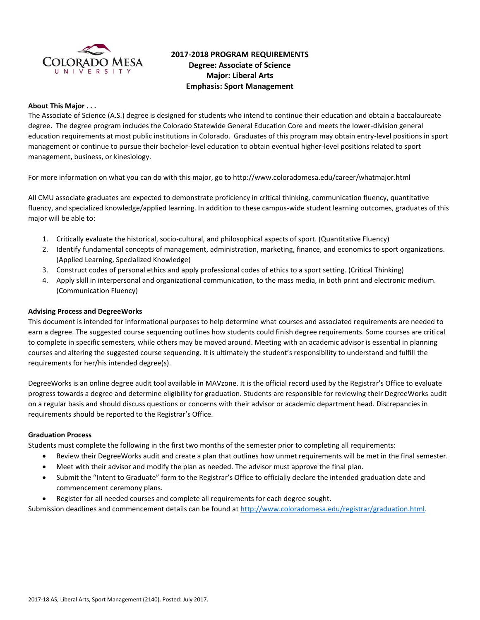

# **2017-2018 PROGRAM REQUIREMENTS Degree: Associate of Science Major: Liberal Arts Emphasis: Sport Management**

## **About This Major . . .**

The Associate of Science (A.S.) degree is designed for students who intend to continue their education and obtain a baccalaureate degree. The degree program includes the Colorado Statewide General Education Core and meets the lower-division general education requirements at most public institutions in Colorado. Graduates of this program may obtain entry-level positions in sport management or continue to pursue their bachelor-level education to obtain eventual higher-level positions related to sport management, business, or kinesiology.

For more information on what you can do with this major, go to http://www.coloradomesa.edu/career/whatmajor.html

All CMU associate graduates are expected to demonstrate proficiency in critical thinking, communication fluency, quantitative fluency, and specialized knowledge/applied learning. In addition to these campus-wide student learning outcomes, graduates of this major will be able to:

- 1. Critically evaluate the historical, socio-cultural, and philosophical aspects of sport. (Quantitative Fluency)
- 2. Identify fundamental concepts of management, administration, marketing, finance, and economics to sport organizations. (Applied Learning, Specialized Knowledge)
- 3. Construct codes of personal ethics and apply professional codes of ethics to a sport setting. (Critical Thinking)
- 4. Apply skill in interpersonal and organizational communication, to the mass media, in both print and electronic medium. (Communication Fluency)

#### **Advising Process and DegreeWorks**

This document is intended for informational purposes to help determine what courses and associated requirements are needed to earn a degree. The suggested course sequencing outlines how students could finish degree requirements. Some courses are critical to complete in specific semesters, while others may be moved around. Meeting with an academic advisor is essential in planning courses and altering the suggested course sequencing. It is ultimately the student's responsibility to understand and fulfill the requirements for her/his intended degree(s).

DegreeWorks is an online degree audit tool available in MAVzone. It is the official record used by the Registrar's Office to evaluate progress towards a degree and determine eligibility for graduation. Students are responsible for reviewing their DegreeWorks audit on a regular basis and should discuss questions or concerns with their advisor or academic department head. Discrepancies in requirements should be reported to the Registrar's Office.

#### **Graduation Process**

Students must complete the following in the first two months of the semester prior to completing all requirements:

- Review their DegreeWorks audit and create a plan that outlines how unmet requirements will be met in the final semester.
- Meet with their advisor and modify the plan as needed. The advisor must approve the final plan.
- Submit the "Intent to Graduate" form to the Registrar's Office to officially declare the intended graduation date and commencement ceremony plans.
- Register for all needed courses and complete all requirements for each degree sought.

Submission deadlines and commencement details can be found at [http://www.coloradomesa.edu/registrar/graduation.html.](http://www.coloradomesa.edu/registrar/graduation.html)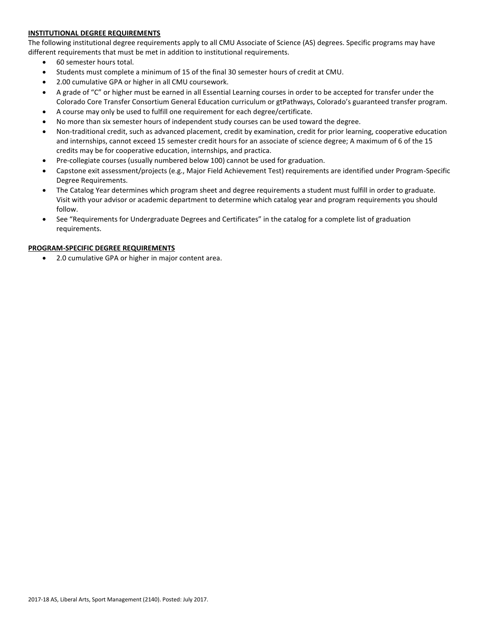## **INSTITUTIONAL DEGREE REQUIREMENTS**

The following institutional degree requirements apply to all CMU Associate of Science (AS) degrees. Specific programs may have different requirements that must be met in addition to institutional requirements.

- 60 semester hours total.
- Students must complete a minimum of 15 of the final 30 semester hours of credit at CMU.
- 2.00 cumulative GPA or higher in all CMU coursework.
- A grade of "C" or higher must be earned in all Essential Learning courses in order to be accepted for transfer under the Colorado Core Transfer Consortium General Education curriculum or gtPathways, Colorado's guaranteed transfer program.
- A course may only be used to fulfill one requirement for each degree/certificate.
- No more than six semester hours of independent study courses can be used toward the degree.
- Non-traditional credit, such as advanced placement, credit by examination, credit for prior learning, cooperative education and internships, cannot exceed 15 semester credit hours for an associate of science degree; A maximum of 6 of the 15 credits may be for cooperative education, internships, and practica.
- Pre-collegiate courses (usually numbered below 100) cannot be used for graduation.
- Capstone exit assessment/projects (e.g., Major Field Achievement Test) requirements are identified under Program-Specific Degree Requirements.
- The Catalog Year determines which program sheet and degree requirements a student must fulfill in order to graduate. Visit with your advisor or academic department to determine which catalog year and program requirements you should follow.
- See "Requirements for Undergraduate Degrees and Certificates" in the catalog for a complete list of graduation requirements.

#### **PROGRAM-SPECIFIC DEGREE REQUIREMENTS**

2.0 cumulative GPA or higher in major content area.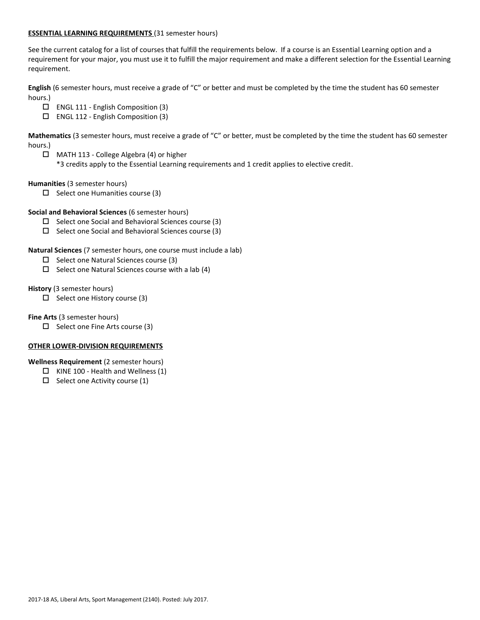### **ESSENTIAL LEARNING REQUIREMENTS** (31 semester hours)

See the current catalog for a list of courses that fulfill the requirements below. If a course is an Essential Learning option and a requirement for your major, you must use it to fulfill the major requirement and make a different selection for the Essential Learning requirement.

**English** (6 semester hours, must receive a grade of "C" or better and must be completed by the time the student has 60 semester hours.)

- ENGL 111 English Composition (3)
- ENGL 112 English Composition (3)

**Mathematics** (3 semester hours, must receive a grade of "C" or better, must be completed by the time the student has 60 semester hours.)

MATH 113 - College Algebra (4) or higher

\*3 credits apply to the Essential Learning requirements and 1 credit applies to elective credit.

**Humanities** (3 semester hours)

 $\square$  Select one Humanities course (3)

## **Social and Behavioral Sciences** (6 semester hours)

- $\square$  Select one Social and Behavioral Sciences course (3)
- $\Box$  Select one Social and Behavioral Sciences course (3)

**Natural Sciences** (7 semester hours, one course must include a lab)

- $\Box$  Select one Natural Sciences course (3)
- $\square$  Select one Natural Sciences course with a lab (4)

**History** (3 semester hours)

 $\Box$  Select one History course (3)

**Fine Arts** (3 semester hours)

 $\Box$  Select one Fine Arts course (3)

#### **OTHER LOWER-DIVISION REQUIREMENTS**

**Wellness Requirement** (2 semester hours)

- $\Box$  KINE 100 Health and Wellness (1)
- $\Box$  Select one Activity course (1)